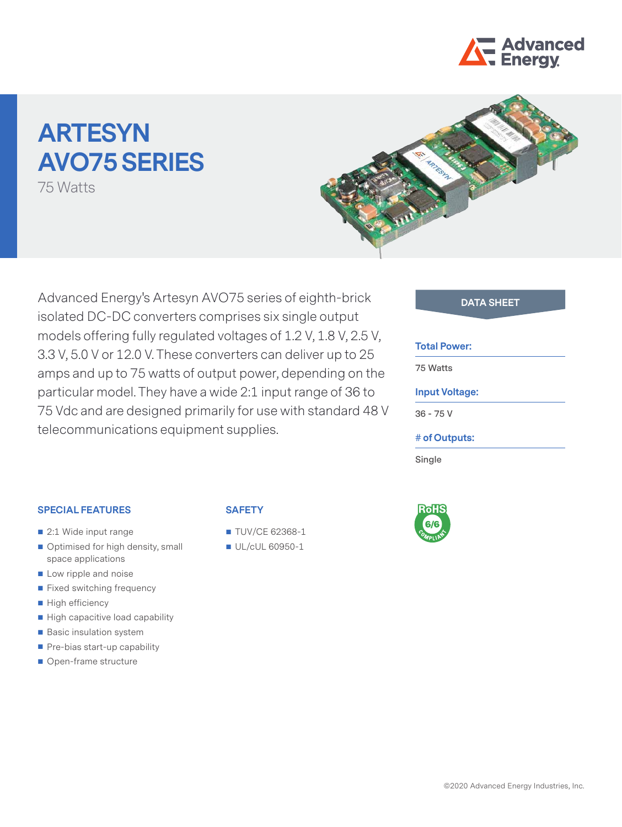

# **ARTESYN AVO75 SERIES**

75 Watts



Advanced Energy's Artesyn AVO75 series of eighth-brick **DATA SHEET** isolated DC-DC converters comprises six single output models offering fully regulated voltages of 1.2 V, 1.8 V, 2.5 V, 3.3 V, 5.0 V or 12.0 V. These converters can deliver up to 25 amps and up to 75 watts of output power, depending on the particular model. They have a wide 2:1 input range of 36 to 75 Vdc and are designed primarily for use with standard 48 V telecommunications equipment supplies.

#### **Total Power:**

**75 Watts**

## **Input Voltage:**

**36 - 75 V**

#### **# of Outputs:**

**Single**

#### **SPECIAL FEATURES**

- 2:1 Wide input range
- Optimised for high density, small space applications
- **Low ripple and noise**
- Fixed switching frequency
- High efficiency
- High capacitive load capability
- Basic insulation system
- Pre-bias start-up capability
- Open-frame structure

### **SAFETY**

- **TUV/CE 62368-1**
- UL/cUL 60950-1

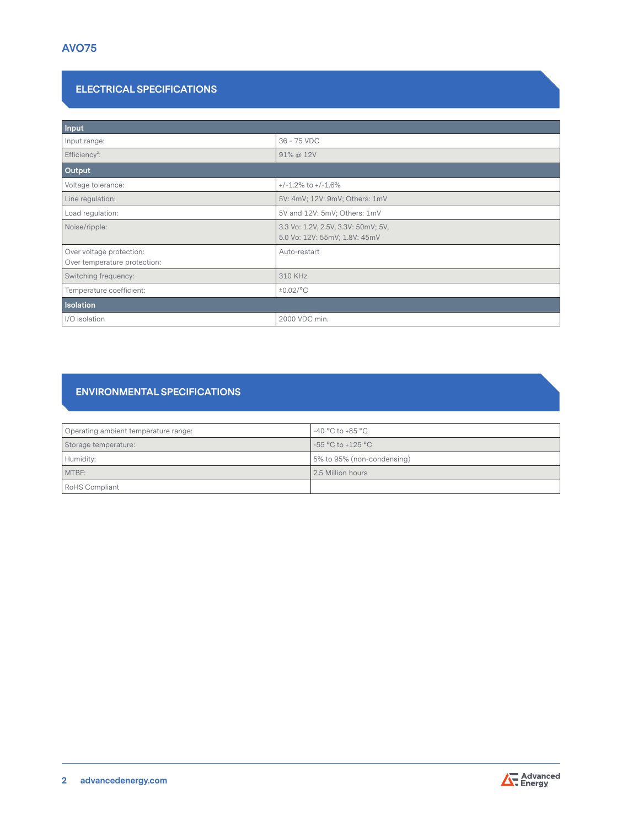# **ELECTRICAL SPECIFICATIONS**

| Input                                                    |                                                                      |  |  |  |
|----------------------------------------------------------|----------------------------------------------------------------------|--|--|--|
| Input range:                                             | 36 - 75 VDC                                                          |  |  |  |
| Efficiency <sup>2</sup> :                                | 91% @ 12V                                                            |  |  |  |
| Output                                                   |                                                                      |  |  |  |
| Voltage tolerance:                                       | $+/-1.2\%$ to $+/-1.6\%$                                             |  |  |  |
| Line regulation:                                         | 5V: 4mV; 12V: 9mV; Others: 1mV                                       |  |  |  |
| Load regulation:                                         | 5V and 12V: 5mV; Others: 1mV                                         |  |  |  |
| Noise/ripple:                                            | 3.3 Vo: 1.2V, 2.5V, 3.3V: 50mV; 5V,<br>5.0 Vo: 12V: 55mV; 1.8V: 45mV |  |  |  |
| Over voltage protection:<br>Over temperature protection: | Auto-restart                                                         |  |  |  |
| Switching frequency:                                     | 310 KHz                                                              |  |  |  |
| Temperature coefficient:                                 | $\pm 0.02$ /°C                                                       |  |  |  |
| Isolation                                                |                                                                      |  |  |  |
| I/O isolation                                            | 2000 VDC min.                                                        |  |  |  |

# **ENVIRONMENTAL SPECIFICATIONS**

| Operating ambient temperature range: | $-40\,^{\circ}\mathrm{C}$ to $+85\,^{\circ}\mathrm{C}$ |
|--------------------------------------|--------------------------------------------------------|
| Storage temperature:                 | -55 °C to +125 °C                                      |
| Humidity:                            | 5% to 95% (non-condensing)                             |
| MTBF:                                | 2.5 Million hours                                      |
| <b>RoHS Compliant</b>                |                                                        |

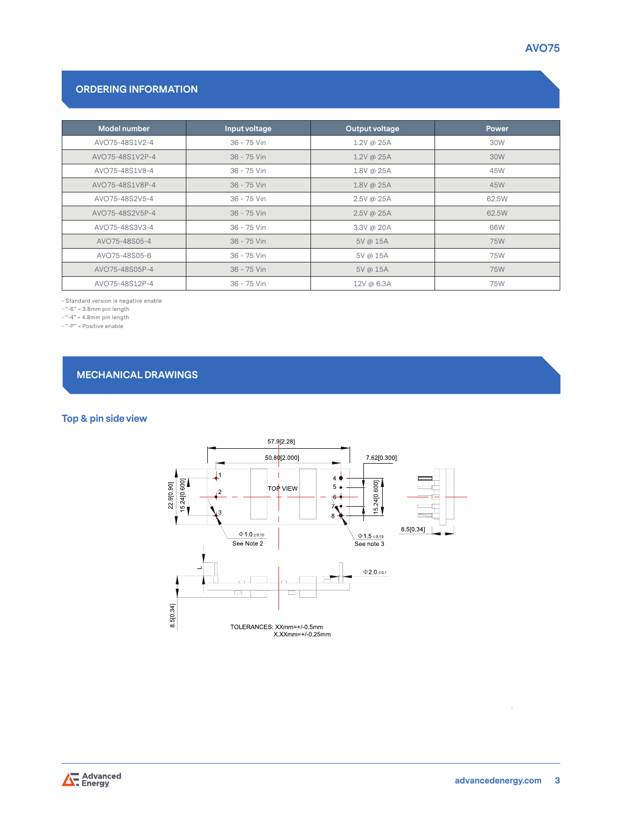# **ORDERING INFORMATION**

| Model number    | Input voltage | Output voltage | <b>Power</b> |
|-----------------|---------------|----------------|--------------|
| AVO75-48S1V2-4  | 36 - 75 Vin   | 1.2V @ 25A     | 30W          |
| AVO75-48S1V2P-4 | 36 - 75 Vin   | 1.2V @ 25A     | 30W          |
| AVO75-48S1V8-4  | 36 - 75 Vin   | 1.8V @ 25A     | 45W          |
| AVO75-48S1V8P-4 | 36 - 75 Vin   | 1.8V @ 25A     | 45W          |
| AVO75-48S2V5-4  | 36 - 75 Vin   | $2.5V$ @ 25A   | 62.5W        |
| AVO75-48S2V5P-4 | 36 - 75 Vin   | $2.5V$ @ 25A   | 62.5W        |
| AVO75-48S3V3-4  | 36 - 75 Vin   | 3.3V @ 20A     | 66W          |
| AVO75-48S05-4   | 36 - 75 Vin   | 5V @ 15A       | 75W          |
| AVO75-48S05-6   | 36 - 75 Vin   | 5V @ 15A       | 75W          |
| AVO75-48S05P-4  | 36 - 75 Vin   | 5V @ 15A       | 75W          |
| AVO75-48S12P-4  | 36 - 75 Vin   | 12V @ 6.3A     | 75W          |

- Standard version is negative enable

- "-6" = 3.8mm pin length

- "-4" = 4.8mm pin length

- "-P" = Positive enable

**MECHANICAL DRAWINGS**

# **Top & pin side view**



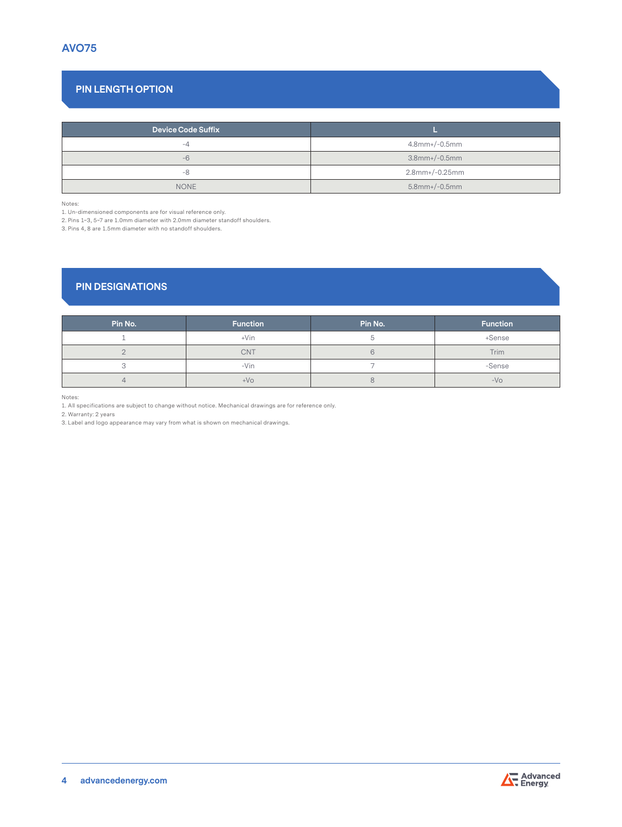# **PIN LENGTH OPTION**

| <b>Device Code Suffix</b> |                      |  |
|---------------------------|----------------------|--|
| -4                        | $4.8$ mm+/-0.5mm     |  |
| $-6$                      | $3.8$ mm+/-0.5mm     |  |
| -8                        | 2.8mm+/-0.25mm       |  |
| <b>NONE</b>               | $5.8$ mm+ $/$ -0.5mm |  |

Notes:

1. Un-dimensioned components are for visual reference only.

2. Pins 1~3, 5~7 are 1.0mm diameter with 2.0mm diameter standoff shoulders.

3. Pins 4, 8 are 1.5mm diameter with no standoff shoulders.

# **PIN DESIGNATIONS**

| Pin No. | <b>Function</b> | Pin No. | <b>Function</b> |
|---------|-----------------|---------|-----------------|
|         | $+V$ in         |         | +Sense          |
|         | <b>CNT</b>      |         | Trim            |
|         | -Vin            |         | -Sense          |
|         | $+VO$           |         | $-VO$           |

Notes:

1. All specifications are subject to change without notice. Mechanical drawings are for reference only.

2. Warranty: 2 years

3. Label and logo appearance may vary from what is shown on mechanical drawings.